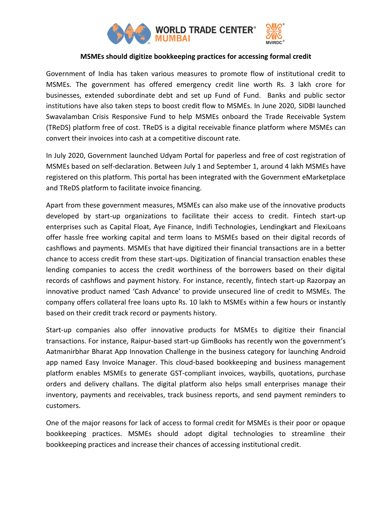

## **MSMEs should digitize bookkeeping practices for accessing formal credit**

Government of India has taken various measures to promote flow of institutional credit to MSMEs. The government has offered emergency credit line worth Rs. 3 lakh crore for businesses, extended subordinate debt and set up Fund of Fund. Banks and public sector institutions have also taken steps to boost credit flow to MSMEs. In June 2020, SIDBI launched Swavalamban Crisis Responsive Fund to help MSMEs onboard the Trade Receivable System (TReDS) platform free of cost. TReDS is a digital receivable finance platform where MSMEs can convert their invoices into cash at a competitive discount rate.

In July 2020, Government launched Udyam Portal for paperless and free of cost registration of MSMEs based on self-declaration. Between July 1 and September 1, around 4 lakh MSMEs have registered on this platform. This portal has been integrated with the Government eMarketplace and TReDS platform to facilitate invoice financing.

Apart from these government measures, MSMEs can also make use of the innovative products developed by start-up organizations to facilitate their access to credit. Fintech start-up enterprises such as Capital Float, Aye Finance, Indifi Technologies, Lendingkart and FlexiLoans offer hassle free working capital and term loans to MSMEs based on their digital records of cashflows and payments. MSMEs that have digitized their financial transactions are in a better chance to access credit from these start-ups. Digitization of financial transaction enables these lending companies to access the credit worthiness of the borrowers based on their digital records of cashflows and payment history. For instance, recently, fintech start-up Razorpay an innovative product named 'Cash Advance' to provide unsecured line of credit to MSMEs. The company offers collateral free loans upto Rs. 10 lakh to MSMEs within a few hours or instantly based on their credit track record or payments history.

Start-up companies also offer innovative products for MSMEs to digitize their financial transactions. For instance, Raipur-based start-up GimBooks has recently won the government's Aatmanirbhar Bharat App Innovation Challenge in the business category for launching Android app named Easy Invoice Manager. This cloud-based bookkeeping and business management platform enables MSMEs to generate GST-compliant invoices, waybills, quotations, purchase orders and delivery challans. The digital platform also helps small enterprises manage their inventory, payments and receivables, track business reports, and send payment reminders to customers.

One of the major reasons for lack of access to formal credit for MSMEs is their poor or opaque bookkeeping practices. MSMEs should adopt digital technologies to streamline their bookkeeping practices and increase their chances of accessing institutional credit.